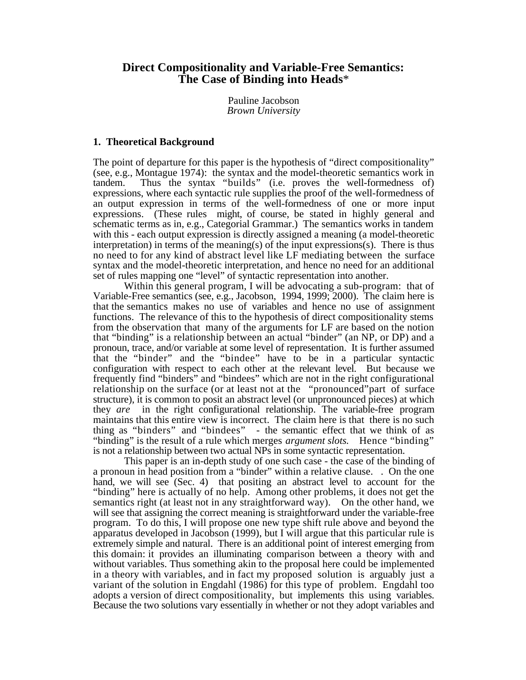# **Direct Compositionality and Variable-Free Semantics: The Case of Binding into Heads**\*

Pauline Jacobson *Brown University*

# **1. Theoretical Background**

The point of departure for this paper is the hypothesis of "direct compositionality" (see, e.g., Montague 1974): the syntax and the model-theoretic semantics work in tandem. Thus the syntax "builds" (i.e. proves the well-formedness of) expressions, where each syntactic rule supplies the proof of the well-formedness of an output expression in terms of the well-formedness of one or more input expressions. (These rules might, of course, be stated in highly general and schematic terms as in, e.g., Categorial Grammar.) The semantics works in tandem with this - each output expression is directly assigned a meaning (a model-theoretic interpretation) in terms of the meaning(s) of the input expressions(s). There is thus no need to for any kind of abstract level like LF mediating between the surface syntax and the model-theoretic interpretation, and hence no need for an additional set of rules mapping one "level" of syntactic representation into another.

Within this general program, I will be advocating a sub-program: that of Variable-Free semantics (see, e.g., Jacobson, 1994, 1999; 2000). The claim here is that the semantics makes no use of variables and hence no use of assignment functions. The relevance of this to the hypothesis of direct compositionality stems from the observation that many of the arguments for LF are based on the notion that "binding" is a relationship between an actual "binder" (an NP, or DP) and a pronoun, trace, and/or variable at some level of representation. It is further assumed that the "binder" and the "bindee" have to be in a particular syntactic configuration with respect to each other at the relevant level. But because we frequently find "binders" and "bindees" which are not in the right configurational relationship on the surface (or at least not at the "pronounced"part of surface structure), it is common to posit an abstract level (or unpronounced pieces) at which they *are* in the right configurational relationship. The variable-free program maintains that this entire view is incorrect. The claim here is that there is no such thing as "binders" and "bindees" - the semantic effect that we think of as "binding" is the result of a rule which merges *argument slots.* Hence "binding" is not a relationship between two actual NPs in some syntactic representation.

This paper is an in-depth study of one such case - the case of the binding of a pronoun in head position from a "binder" within a relative clause. . On the one hand, we will see (Sec. 4) that positing an abstract level to account for the "binding" here is actually of no help. Among other problems, it does not get the semantics right (at least not in any straightforward way). On the other hand, we will see that assigning the correct meaning is straightforward under the variable-free program. To do this, I will propose one new type shift rule above and beyond the apparatus developed in Jacobson (1999), but I will argue that this particular rule is extremely simple and natural. There is an additional point of interest emerging from this domain: it provides an illuminating comparison between a theory with and without variables. Thus something akin to the proposal here could be implemented in a theory with variables, and in fact my proposed solution is arguably just a variant of the solution in Engdahl (1986) for this type of problem. Engdahl too adopts a version of direct compositionality, but implements this using variables. Because the two solutions vary essentially in whether or not they adopt variables and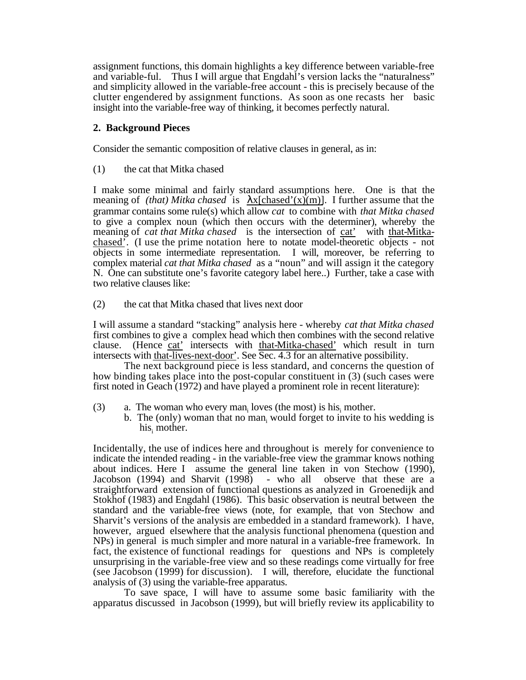assignment functions, this domain highlights a key difference between variable-free and variable-ful. Thus I will argue that Engdahl's version lacks the "naturalness" and simplicity allowed in the variable-free account - this is precisely because of the clutter engendered by assignment functions. As soon as one recasts her basic insight into the variable-free way of thinking, it becomes perfectly natural.

# **2. Background Pieces**

Consider the semantic composition of relative clauses in general, as in:

(1) the cat that Mitka chased

I make some minimal and fairly standard assumptions here. One is that the meaning of *(that) Mitka chased* is  $\overline{x[chased'(x)(m)]}$ . I further assume that the grammar contains some rule(s) which allow *cat* to combine with *that Mitka chased* to give a complex noun (which then occurs with the determiner), whereby the meaning of *cat that Mitka chased* is the intersection of cat' with that-Mitkachased'. (I use the prime notation here to notate model-theoretic objects - not objects in some intermediate representation. I will, moreover, be referring to complex material *cat that Mitka chased* as a "noun" and will assign it the category N. One can substitute one's favorite category label here..) Further, take a case with two relative clauses like:

(2) the cat that Mitka chased that lives next door

I will assume a standard "stacking" analysis here - whereby *cat that Mitka chased* first combines to give a complex head which then combines with the second relative clause. (Hence cat' intersects with that-Mitka-chased' which result in turn intersects with that-lives-next-door'. See Sec. 4.3 for an alternative possibility.

The next background piece is less standard, and concerns the question of how binding takes place into the post-copular constituent in (3) (such cases were first noted in Geach (1972) and have played a prominent role in recent literature):

- (3) a. The woman who every man<sub>i</sub> loves (the most) is his mother.
	- b. The (only) woman that no man<sub>i</sub> would forget to invite to his wedding is his, mother.

Incidentally, the use of indices here and throughout is merely for convenience to indicate the intended reading - in the variable-free view the grammar knows nothing about indices. Here I assume the general line taken in von Stechow (1990), Jacobson (1994) and Sharvit (1998) - who all observe that these are a straightforward extension of functional questions as analyzed in Groenedijk and Stokhof (1983) and Engdahl (1986). This basic observation is neutral between the standard and the variable-free views (note, for example, that von Stechow and Sharvit's versions of the analysis are embedded in a standard framework). I have, however, argued elsewhere that the analysis functional phenomena (question and NPs) in general is much simpler and more natural in a variable-free framework. In fact, the existence of functional readings for questions and NPs is completely unsurprising in the variable-free view and so these readings come virtually for free (see Jacobson (1999) for discussion). I will, therefore, elucidate the functional analysis of (3) using the variable-free apparatus.

To save space, I will have to assume some basic familiarity with the apparatus discussed in Jacobson (1999), but will briefly review its applicability to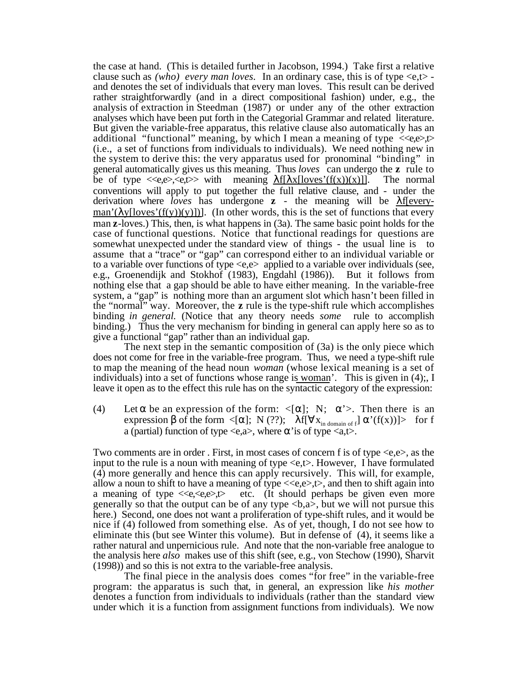the case at hand. (This is detailed further in Jacobson, 1994.) Take first a relative clause such as *(who) every man loves.* In an ordinary case, this is of type <e,t> and denotes the set of individuals that every man loves. This result can be derived rather straightforwardly (and in a direct compositional fashion) under, e.g., the analysis of extraction in Steedman (1987) or under any of the other extraction analyses which have been put forth in the Categorial Grammar and related literature. But given the variable-free apparatus, this relative clause also automatically has an additional "functional" meaning, by which I mean a meaning of type  $\ll_{e} \ll_{e} \ll_{e}$ (i.e., a set of functions from individuals to individuals). We need nothing new in the system to derive this: the very apparatus used for pronominal "binding" in general automatically gives us this meaning. Thus *loves* can undergo the **z** rule to be of type  $\langle e,e\rangle, \langle e,t\rangle$  with meaning <u>f[ x[loves'(f(x))(x)]</u>. The normal conventions will apply to put together the full relative clause, and - under the derivation where *loves* has undergone **z** - the meaning will be f[every- $\text{man'}(\text{y}[\text{loves'}(f(y))(y)])$ . (In other words, this is the set of functions that every man **z**-loves.) This, then, is what happens in (3a). The same basic point holds for the case of functional questions. Notice that functional readings for questions are somewhat unexpected under the standard view of things - the usual line is to assume that a "trace" or "gap" can correspond either to an individual variable or to a variable over functions of type <e,e> applied to a variable over individuals (see, e.g., Groenendijk and Stokhof (1983), Engdahl (1986)). But it follows from nothing else that a gap should be able to have either meaning. In the variable-free system, a "gap" is nothing more than an argument slot which hasn't been filled in the "normal" way. Moreover, the **z** rule is the type-shift rule which accomplishes binding *in general.* (Notice that any theory needs *some* rule to accomplish binding.) Thus the very mechanism for binding in general can apply here so as to give a functional "gap" rather than an individual gap.

The next step in the semantic composition of (3a) is the only piece which does not come for free in the variable-free program. Thus, we need a type-shift rule to map the meaning of the head noun *woman* (whose lexical meaning is a set of individuals) into a set of functions whose range is woman'. This is given in (4);, I leave it open as to the effect this rule has on the syntactic category of the expression:

(4) Let be an expression of the form:  $\langle$ [ ]; N;  $\rangle$ . Then there is an expression of the form  $\leq$  ]; N (??); f[  $x_{\text{in domain of } f}$  '(f(x))]> for f a (partial) function of type  $\langle e, a \rangle$ , where 'is of type  $\langle a, t \rangle$ .

Two comments are in order. First, in most cases of concern f is of type  $\langle e,e \rangle$ , as the input to the rule is a noun with meaning of type <e,t>. However, I have formulated (4) more generally and hence this can apply recursively. This will, for example, allow a noun to shift to have a meaning of type  $\langle\langle e,e\rangle, t\rangle$ , and then to shift again into a meaning of type  $\langle \langle e, \langle e, e \rangle \rangle$  etc. (It should perhaps be given even more generally so that the output can be of any type  $\langle b, a \rangle$ , but we will not pursue this here.) Second, one does not want a proliferation of type-shift rules, and it would be nice if (4) followed from something else. As of yet, though, I do not see how to eliminate this (but see Winter this volume). But in defense of (4), it seems like a rather natural and unpernicious rule. And note that the non-variable free analogue to the analysis here *also* makes use of this shift (see, e.g., von Stechow (1990), Sharvit (1998)) and so this is not extra to the variable-free analysis.

The final piece in the analysis does comes "for free" in the variable-free program: the apparatus is such that, in general, an expression like *his mother* denotes a function from individuals to individuals (rather than the standard view under which it is a function from assignment functions from individuals). We now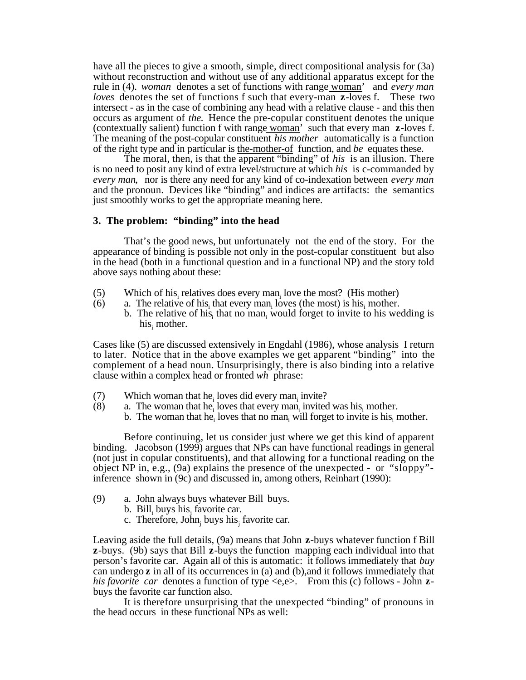have all the pieces to give a smooth, simple, direct compositional analysis for (3a) without reconstruction and without use of any additional apparatus except for the rule in (4). *woman* denotes a set of functions with range woman' and *every man loves* denotes the set of functions f such that every-man **z**-loves f. These two intersect - as in the case of combining any head with a relative clause - and this then occurs as argument of *the.* Hence the pre-copular constituent denotes the unique (contextually salient) function f with range woman' such that every man **z**-loves f. The meaning of the post-copular constituent *his mother* automatically is a function of the right type and in particular is the-mother-of function, and *be* equates these.

The moral, then, is that the apparent "binding" of *his* is an illusion. There is no need to posit any kind of extra level/structure at which *his* is c-commanded by *every man*,nor is there any need for any kind of co-indexation between *every man* and the pronoun. Devices like "binding" and indices are artifacts: the semantics just smoothly works to get the appropriate meaning here.

#### **3. The problem: "binding" into the head**

That's the good news, but unfortunately not the end of the story. For the appearance of binding is possible not only in the post-copular constituent but also in the head (both in a functional question and in a functional NP) and the story told above says nothing about these:

- (5) Which of his relatives does every man<sub>i</sub> love the most? (His mother)
- (6) a. The relative of his, that every man, loves (the most) is his, mother.
- b. The relative of his that no man<sub>i</sub> would forget to invite to his wedding is his, mother.

Cases like (5) are discussed extensively in Engdahl (1986), whose analysis I return to later. Notice that in the above examples we get apparent "binding" into the complement of a head noun. Unsurprisingly, there is also binding into a relative clause within a complex head or fronted *wh* phrase:

- (7) Which woman that he<sub>i</sub> loves did every man<sub>i</sub> invite?
- (8) a. The woman that he<sub>i</sub> loves that every man<sub>i</sub> invited was his mother.
	- b. The woman that he<sub>i</sub> loves that no man<sub>i</sub> will forget to invite is his<sub>i</sub> mother.

Before continuing, let us consider just where we get this kind of apparent binding. Jacobson (1999) argues that NPs can have functional readings in general (not just in copular constituents), and that allowing for a functional reading on the object NP in, e.g., (9a) explains the presence of the unexpected - or "sloppy" inference shown in (9c) and discussed in, among others, Reinhart (1990):

- (9) a. John always buys whatever Bill buys.
	- b.  $\text{Bill}_i$  buys his favorite car.
	- c. Therefore, John<sub>j</sub> buys his<sub>j</sub> favorite car.

Leaving aside the full details, (9a) means that John **z**-buys whatever function f Bill **z**-buys. (9b) says that Bill **z**-buys the function mapping each individual into that person's favorite car. Again all of this is automatic: it follows immediately that *buy* can undergo **z** in all of its occurrences in (a) and (b),and it follows immediately that *his favorite car* denotes a function of type <e,e>. From this (c) follows - John **z**buys the favorite car function also.

It is therefore unsurprising that the unexpected "binding" of pronouns in the head occurs in these functional NPs as well: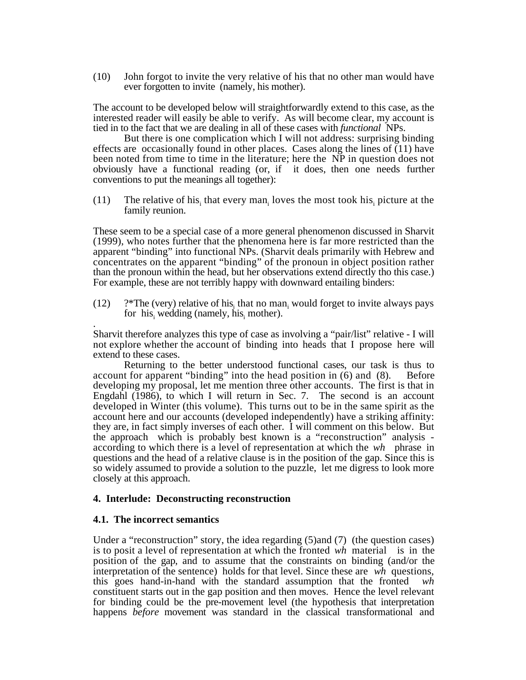(10) John forgot to invite the very relative of his that no other man would have ever forgotten to invite (namely, his mother).

The account to be developed below will straightforwardly extend to this case, as the interested reader will easily be able to verify. As will become clear, my account is tied in to the fact that we are dealing in all of these cases with *functional* NPs.

But there is one complication which I will not address: surprising binding effects are occasionally found in other places. Cases along the lines of (11) have been noted from time to time in the literature; here the NP in question does not obviously have a functional reading (or, if it does, then one needs further conventions to put the meanings all together):

(11) The relative of his<sub>i</sub> that every man<sub>i</sub> loves the most took his<sub>i</sub> picture at the family reunion.

These seem to be a special case of a more general phenomenon discussed in Sharvit (1999), who notes further that the phenomena here is far more restricted than the apparent "binding" into functional NPs. (Sharvit deals primarily with Hebrew and concentrates on the apparent "binding" of the pronoun in object position rather than the pronoun within the head, but her observations extend directly tho this case.) For example, these are not terribly happy with downward entailing binders:

(12)  $\frac{?}{?}$  The (very) relative of his<sub>i</sub> that no man<sub>i</sub> would forget to invite always pays for  $his<sub>i</sub>$  wedding (namely, his $<sub>i</sub>$  mother).</sub>

. Sharvit therefore analyzes this type of case as involving a "pair/list" relative - I will not explore whether the account of binding into heads that I propose here will extend to these cases.

Returning to the better understood functional cases, our task is thus to account for apparent "binding" into the head position in (6) and (8). Before developing my proposal, let me mention three other accounts. The first is that in Engdahl (1986), to which I will return in Sec. 7. The second is an account developed in Winter (this volume). This turns out to be in the same spirit as the account here and our accounts (developed independently) have a striking affinity: they are, in fact simply inverses of each other. I will comment on this below. But the approach which is probably best known is a "reconstruction" analysis according to which there is a level of representation at which the *wh* phrase in questions and the head of a relative clause is in the position of the gap. Since this is so widely assumed to provide a solution to the puzzle, let me digress to look more closely at this approach.

# **4. Interlude: Deconstructing reconstruction**

# **4.1. The incorrect semantics**

Under a "reconstruction" story, the idea regarding (5)and (7) (the question cases) is to posit a level of representation at which the fronted *wh* material is in the position of the gap, and to assume that the constraints on binding (and/or the interpretation of the sentence) holds for that level. Since these are *wh* questions, this goes hand-in-hand with the standard assumption that the fronted *wh* constituent starts out in the gap position and then moves. Hence the level relevant for binding could be the pre-movement level (the hypothesis that interpretation happens *before* movement was standard in the classical transformational and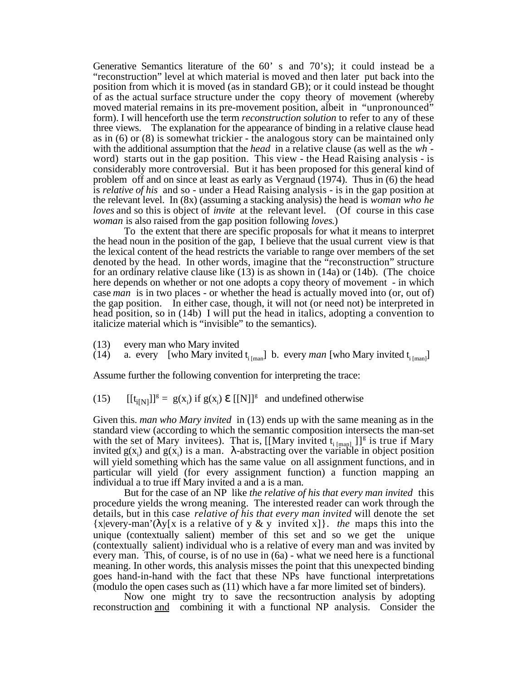Generative Semantics literature of the 60' s and 70's); it could instead be a "reconstruction" level at which material is moved and then later put back into the position from which it is moved (as in standard GB); or it could instead be thought of as the actual surface structure under the copy theory of movement (whereby moved material remains in its pre-movement position, albeit in "unpronounced" form). I will henceforth use the term *reconstruction solution* to refer to any of these three views. The explanation for the appearance of binding in a relative clause head as in (6) or (8) is somewhat trickier - the analogous story can be maintained only with the additional assumption that the *head* in a relative clause (as well as the *wh* word) starts out in the gap position. This view - the Head Raising analysis - is considerably more controversial. But it has been proposed for this general kind of problem off and on since at least as early as Vergnaud (1974). Thus in (6) the head is *relative of his* and so - under a Head Raising analysis - is in the gap position at the relevant level. In (8x) (assuming a stacking analysis) the head is *woman who he loves* and so this is object of *invite* at the relevant level. (Of course in this case *woman* is also raised from the gap position following *loves*.)

To the extent that there are specific proposals for what it means to interpret the head noun in the position of the gap, I believe that the usual current view is that the lexical content of the head restricts the variable to range over members of the set denoted by the head. In other words, imagine that the "reconstruction" structure for an ordinary relative clause like (13) is as shown in (14a) or (14b). (The choice here depends on whether or not one adopts a copy theory of movement - in which case *man* is in two places - or whether the head is actually moved into (or, out of) the gap position. In either case, though, it will not (or need not) be interpreted in head position, so in (14b) I will put the head in italics, adopting a convention to italicize material which is "invisible" to the semantics).

(13) every man who Mary invited

(14) a. every [who Mary invited  $t_{i [man]}$ ] b. every *man* [who Mary invited  $t_{i [man]}$ ]

Assume further the following convention for interpreting the trace:

(15)  $[[t_{i[N]}]]^g = g(x_i)$  if  $g(x_i)$   $[[N]]^g$  and undefined otherwise

Given this. *man who Mary invited* in (13) ends up with the same meaning as in the standard view (according to which the semantic composition intersects the man-set with the set of Mary invitees). That is,  $[[Mary \text{ invited t}_{i [man]}]]^g$  is true if Mary invited  $g(x_i)$  and  $g(x_i)$  is a man. -abstracting over the variable in object position will yield something which has the same value on all assignment functions, and in particular will yield (for every assignment function) a function mapping an individual a to true iff Mary invited a and a is a man.

But for the case of an NP like *the relative of his that every man invited* this procedure yields the wrong meaning. The interested reader can work through the details, but in this case *relative of his that every man invited* will denote the set {x|every-man'( y[x is a relative of y & y invited x]}. *the* maps this into the unique (contextually salient) member of this set and so we get the unique (contextually salient) individual who is a relative of every man and was invited by every man. This, of course, is of no use in (6a) - what we need here is a functional meaning. In other words, this analysis misses the point that this unexpected binding goes hand-in-hand with the fact that these NPs have functional interpretations (modulo the open cases such as (11) which have a far more limited set of binders).

Now one might try to save the recsontruction analysis by adopting reconstruction and combining it with a functional NP analysis. Consider the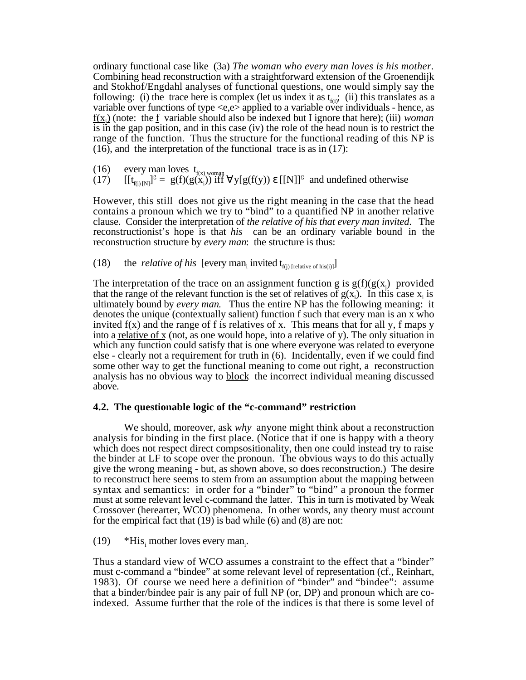ordinary functional case like (3a) *The woman who every man loves is his mother.* Combining head reconstruction with a straightforward extension of the Groenendijk and Stokhof/Engdahl analyses of functional questions, one would simply say the following: (i) the trace here is complex (let us index it as  $t_{\text{f(i)}}$ ; (ii) this translates as a variable over functions of type <e,e> applied to a variable over individuals - hence, as  $f(x)$  (note: the f variable should also be indexed but I ignore that here); (iii) *woman* is in the gap position, and in this case (iv) the role of the head noun is to restrict the range of the function. Thus the structure for the functional reading of this NP is (16), and the interpretation of the functional trace is as in (17):

(16) every man loves  $t_{f(x), w \text{omang}}$ 

 $(17)$   $[[t_{f(i) [N]}]^{g} = g(f)(g(x_i))^{\text{diff}}$   $y[g(f(y))$   $[[N]]^{g}$  and undefined otherwise

However, this still does not give us the right meaning in the case that the head contains a pronoun which we try to "bind" to a quantified NP in another relative clause. Consider the interpretation of *the relative of his that every man invited*.The reconstructionist's hope is that *his* can be an ordinary variable bound in the reconstruction structure by *every man*: the structure is thus:

(18) the *relative of his* [every man<sub>i</sub> invited  $t_{f(j)}$  [relative of his(i)]]

The interpretation of the trace on an assignment function g is  $g(f)(g(x)$  provided that the range of the relevant function is the set of relatives of  $g(x)$ . In this case  $x_i$  is ultimately bound by *every man*. Thus the entire NP has the following meaning: it denotes the unique (contextually salient) function f such that every man is an x who invited  $f(x)$  and the range of f is relatives of x. This means that for all y, f maps y into a <u>relative of</u> x (not, as one would hope, into a relative of y). The only situation in which any function could satisfy that is one where everyone was related to everyone else - clearly not a requirement for truth in (6). Incidentally, even if we could find some other way to get the functional meaning to come out right, a reconstruction analysis has no obvious way to block the incorrect individual meaning discussed above.

# **4.2. The questionable logic of the "c-command" restriction**

We should, moreover, ask *why* anyone might think about a reconstruction analysis for binding in the first place. (Notice that if one is happy with a theory which does not respect direct compsositionality, then one could instead try to raise the binder at LF to scope over the pronoun. The obvious ways to do this actually give the wrong meaning - but, as shown above, so does reconstruction.) The desire to reconstruct here seems to stem from an assumption about the mapping between syntax and semantics: in order for a "binder" to "bind" a pronoun the former must at some relevant level c-command the latter. This in turn is motivated by Weak Crossover (herearter, WCO) phenomena. In other words, any theory must account for the empirical fact that  $(19)$  is bad while  $(6)$  and  $(8)$  are not:

(19) \*His, mother loves every man<sub>i</sub>.

Thus a standard view of WCO assumes a constraint to the effect that a "binder" must c-command a "bindee" at some relevant level of representation (cf., Reinhart, 1983). Of course we need here a definition of "binder" and "bindee": assume that a binder/bindee pair is any pair of full NP (or, DP) and pronoun which are coindexed. Assume further that the role of the indices is that there is some level of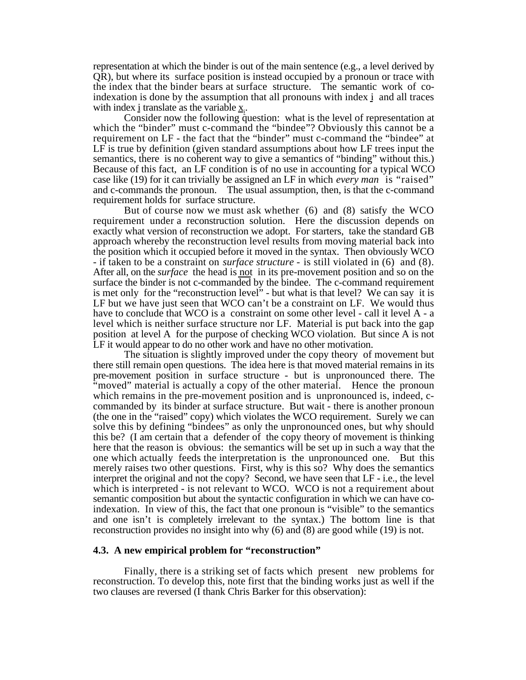representation at which the binder is out of the main sentence (e.g., a level derived by QR), but where its surface position is instead occupied by a pronoun or trace with the index that the binder bears at surface structure. The semantic work of coindexation is done by the assumption that all pronouns with index i and all traces with index i translate as the variable  $\underline{x}_i$ .

Consider now the following question: what is the level of representation at which the "binder" must c-command the "bindee"? Obviously this cannot be a requirement on LF - the fact that the "binder" must c-command the "bindee" at LF is true by definition (given standard assumptions about how LF trees input the semantics, there is no coherent way to give a semantics of "binding" without this.) Because of this fact, an LF condition is of no use in accounting for a typical WCO case like (19) for it can trivially be assigned an LF in which *every man* is "raised" and c-commands the pronoun. The usual assumption, then, is that the c-command requirement holds for surface structure.

But of course now we must ask whether (6) and (8) satisfy the WCO requirement under a reconstruction solution. Here the discussion depends on exactly what version of reconstruction we adopt. For starters, take the standard GB approach whereby the reconstruction level results from moving material back into the position which it occupied before it moved in the syntax. Then obviously WCO - if taken to be a constraint on *surface structure -* is still violated in (6) and (8). After all, on the *surface* the head is not in its pre-movement position and so on the surface the binder is not c-commanded by the bindee. The c-command requirement is met only for the "reconstruction level" - but what is that level? We can say it is LF but we have just seen that WCO can't be a constraint on LF. We would thus have to conclude that WCO is a constraint on some other level - call it level A - a level which is neither surface structure nor LF. Material is put back into the gap position at level A for the purpose of checking WCO violation. But since A is not LF it would appear to do no other work and have no other motivation.

The situation is slightly improved under the copy theory of movement but there still remain open questions. The idea here is that moved material remains in its pre-movement position in surface structure - but is unpronounced there. The "moved" material is actually a copy of the other material. Hence the pronoun which remains in the pre-movement position and is unpronounced is, indeed, ccommanded by its binder at surface structure. But wait - there is another pronoun (the one in the "raised" copy) which violates the WCO requirement. Surely we can solve this by defining "bindees" as only the unpronounced ones, but why should this be? (I am certain that a defender of the copy theory of movement is thinking here that the reason is obvious: the semantics will be set up in such a way that the one which actually feeds the interpretation is the unpronounced one. But this merely raises two other questions. First, why is this so? Why does the semantics interpret the original and not the copy? Second, we have seen that LF - i.e., the level which is interpreted - is not relevant to WCO. WCO is not a requirement about semantic composition but about the syntactic configuration in which we can have coindexation. In view of this, the fact that one pronoun is "visible" to the semantics and one isn't is completely irrelevant to the syntax.) The bottom line is that reconstruction provides no insight into why (6) and (8) are good while (19) is not.

#### **4.3. A new empirical problem for "reconstruction"**

Finally, there is a striking set of facts which present new problems for reconstruction. To develop this, note first that the binding works just as well if the two clauses are reversed (I thank Chris Barker for this observation):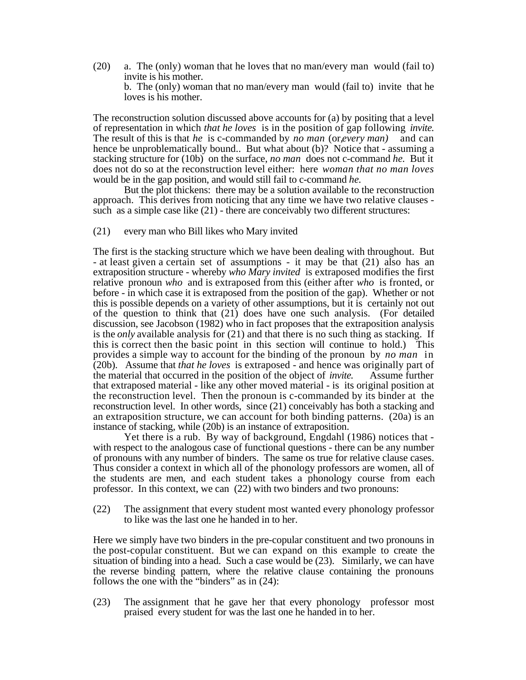(20) a. The (only) woman that he loves that no man/every man would (fail to) invite is his mother. b. The (only) woman that no man/every man would (fail to) invite that he loves is his mother.

The reconstruction solution discussed above accounts for (a) by positing that a level of representation in which *that he loves* is in the position of gap following *invite.* The result of this is that *he* is c-commanded by *no man* (or,*every man)* and can hence be unproblematically bound.. But what about (b)? Notice that - assuming a stacking structure for (10b) on the surface, *no man* does not c-command *he.* But it does not do so at the reconstruction level either: here *woman that no man loves* would be in the gap position, and would still fail to c-command *he.*

But the plot thickens: there may be a solution available to the reconstruction approach. This derives from noticing that any time we have two relative clauses such as a simple case like (21) - there are conceivably two different structures:

#### (21) every man who Bill likes who Mary invited

The first is the stacking structure which we have been dealing with throughout. But - at least given a certain set of assumptions - it may be that (21) also has an extraposition structure - whereby *who Mary invited* is extraposed modifies the first relative pronoun *who* and is extraposed from this (either after *who* is fronted, or before - in which case it is extraposed from the position of the gap). Whether or not this is possible depends on a variety of other assumptions, but it is certainly not out of the question to think that (21) does have one such analysis. (For detailed discussion, see Jacobson (1982) who in fact proposes that the extraposition analysis is the *only* available analysis for (21) and that there is no such thing as stacking. If this is correct then the basic point in this section will continue to hold.) This provides a simple way to account for the binding of the pronoun by *no man* in (20b). Assume that *that he loves* is extraposed - and hence was originally part of the material that occurred in the position of the object of *invite.* Assume further that extraposed material - like any other moved material - is its original position at the reconstruction level. Then the pronoun is c-commanded by its binder at the reconstruction level. In other words, since (21) conceivably has both a stacking and an extraposition structure, we can account for both binding patterns. (20a) is an instance of stacking, while (20b) is an instance of extraposition.

Yet there is a rub. By way of background, Engdahl (1986) notices that with respect to the analogous case of functional questions - there can be any number of pronouns with any number of binders. The same os true for relative clause cases. Thus consider a context in which all of the phonology professors are women, all of the students are men, and each student takes a phonology course from each professor. In this context, we can (22) with two binders and two pronouns:

(22) The assignment that every student most wanted every phonology professor to like was the last one he handed in to her.

Here we simply have two binders in the pre-copular constituent and two pronouns in the post-copular constituent. But we can expand on this example to create the situation of binding into a head. Such a case would be (23). Similarly, we can have the reverse binding pattern, where the relative clause containing the pronouns follows the one with the "binders" as in (24):

(23) The assignment that he gave her that every phonology professor most praised every student for was the last one he handed in to her.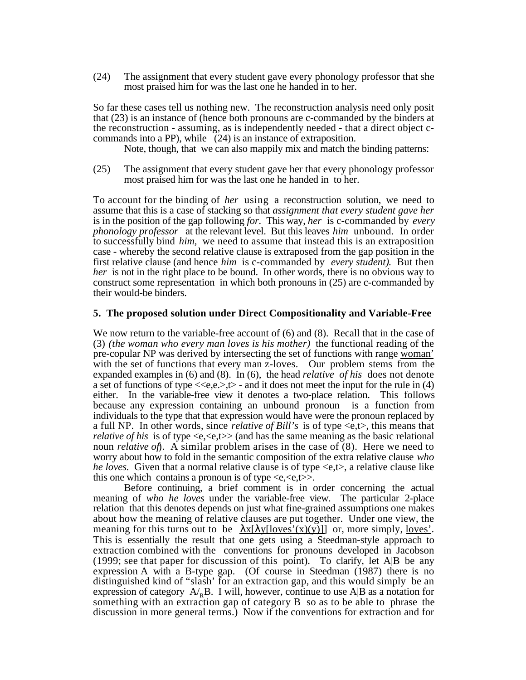(24) The assignment that every student gave every phonology professor that she most praised him for was the last one he handed in to her.

So far these cases tell us nothing new. The reconstruction analysis need only posit that (23) is an instance of (hence both pronouns are c-commanded by the binders at the reconstruction - assuming, as is independently needed - that a direct object ccommands into a PP), while (24) is an instance of extraposition.

Note, though, that we can also mappily mix and match the binding patterns:

(25) The assignment that every student gave her that every phonology professor most praised him for was the last one he handed in to her.

To account for the binding of *her* using a reconstruction solution, we need to assume that this is a case of stacking so that *assignment that every student gave her* is in the position of the gap following *for.* This way, *her* is c-commanded by *every phonology professor* at the relevant level. But this leaves *him* unbound. In order to successfully bind *him,* we need to assume that instead this is an extraposition case - whereby the second relative clause is extraposed from the gap position in the first relative clause (and hence *him* is c-commanded by *every student)*. But then *her* is not in the right place to be bound. In other words, there is no obvious way to construct some representation in which both pronouns in (25) are c-commanded by their would-be binders.

#### **5. The proposed solution under Direct Compositionality and Variable-Free**

We now return to the variable-free account of  $(6)$  and  $(8)$ . Recall that in the case of (3) *(the woman who every man loves is his mother)* the functional reading of the pre-copular NP was derived by intersecting the set of functions with range woman' with the set of functions that every man z-loves. Our problem stems from the expanded examples in (6) and (8). In (6), the head *relative of his* does not denote a set of functions of type  $\langle \langle e, e, \rangle, \rangle$  - and it does not meet the input for the rule in (4) either. In the variable-free view it denotes a two-place relation. This follows because any expression containing an unbound pronoun is a function from individuals to the type that that expression would have were the pronoun replaced by a full NP. In other words, since *relative of Bill's* is of type <e,t>, this means that *relative of his* is of type  $\langle e, \langle e, t \rangle \rangle$  (and has the same meaning as the basic relational noun *relative of*). A similar problem arises in the case of (8). Here we need to worry about how to fold in the semantic composition of the extra relative clause *who he loves.* Given that a normal relative clause is of type  $\ll e, t$ , a relative clause like this one which contains a pronoun is of type  $\langle e, \langle e, t \rangle \rangle$ .

Before continuing, a brief comment is in order concerning the actual meaning of *who he loves* under the variable-free view. The particular 2-place relation that this denotes depends on just what fine-grained assumptions one makes about how the meaning of relative clauses are put together. Under one view, the meaning for this turns out to be  $x[y][\text{loves'}(x)(y)]]$  or, more simply, loves'. This is essentially the result that one gets using a Steedman-style approach to extraction combined with the conventions for pronouns developed in Jacobson (1999; see that paper for discussion of this point). To clarify, let A|B be any expression A with a B-type gap. (Of course in Steedman (1987) there is no distinguished kind of "slash' for an extraction gap, and this would simply be an expression of category  $A_{\rm B}$ . I will, however, continue to use A|B as a notation for something with an extraction gap of category B so as to be able to phrase the discussion in more general terms.) Now if the conventions for extraction and for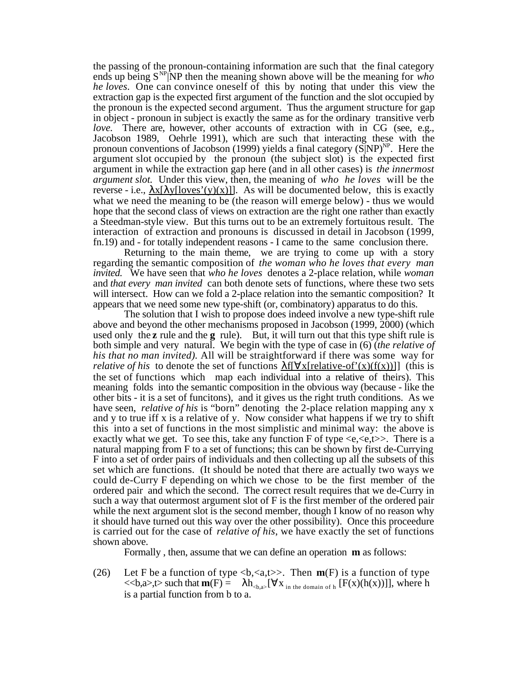the passing of the pronoun-containing information are such that the final category ends up being SNP|NP then the meaning shown above will be the meaning for *who he loves.* One can convince oneself of this by noting that under this view the extraction gap is the expected first argument of the function and the slot occupied by the pronoun is the expected second argument. Thus the argument structure for gap in object - pronoun in subject is exactly the same as for the ordinary transitive verb *love.* There are, however, other accounts of extraction with in CG (see, e.g., Jacobson 1989, Oehrle 1991), which are such that interacting these with the pronoun conventions of Jacobson (1999) yields a final category  $(S|NP)^{NP}$ . Here the argument slot occupied by the pronoun (the subject slot) is the expected first argument in while the extraction gap here (and in all other cases) is *the innermost argument slot.* Under this view, then, the meaning of *who he loves* will be the reverse - i.e.,  $x[y][\overline{O(x)}]$ . As will be documented below, this is exactly what we need the meaning to be (the reason will emerge below) - thus we would hope that the second class of views on extraction are the right one rather than exactly a Steedman-style view. But this turns out to be an extremely fortuitous result. The interaction of extraction and pronouns is discussed in detail in Jacobson (1999, fn.19) and - for totally independent reasons - I came to the same conclusion there.

Returning to the main theme, we are trying to come up with a story regarding the semantic composition of *the woman who he loves that every man invited.* We have seen that *who he loves* denotes a 2-place relation, while *woman* and *that every man invited* can both denote sets of functions, where these two sets will intersect. How can we fold a 2-place relation into the semantic composition? It appears that we need some new type-shift (or, combinatory) apparatus to do this.

The solution that I wish to propose does indeed involve a new type-shift rule above and beyond the other mechanisms proposed in Jacobson (1999, 2000) (which used only the **z** rule and the **g** rule). But, it will turn out that this type shift rule is both simple and very natural. We begin with the type of case in (6) (*the relative of his that no man invited).* All will be straightforward if there was some way for *relative of his* to denote the set of functions  $\int \int x[relative-of'(x)(f(x))]$  (this is the set of functions which map each individual into a relative of theirs). This meaning folds into the semantic composition in the obvious way (because - like the other bits - it is a set of funcitons), and it gives us the right truth conditions. As we have seen, *relative of his* is "born" denoting the 2-place relation mapping any x and y to true iff x is a relative of y. Now consider what happens if we try to shift this into a set of functions in the most simplistic and minimal way: the above is exactly what we get. To see this, take any function F of type  $\langle e, \langle e, t \rangle \rangle$ . There is a natural mapping from F to a set of functions; this can be shown by first de-Currying F into a set of order pairs of individuals and then collecting up all the subsets of this set which are functions. (It should be noted that there are actually two ways we could de-Curry F depending on which we chose to be the first member of the ordered pair and which the second. The correct result requires that we de-Curry in such a way that outermost argument slot of F is the first member of the ordered pair while the next argument slot is the second member, though I know of no reason why it should have turned out this way over the other possibility). Once this proceedure is carried out for the case of *relative of his*, we have exactly the set of functions shown above.

Formally , then, assume that we can define an operation **m** as follows:

(26) Let F be a function of type  **is a function of type**  $<,a $>>$ ,t $>>$  such that  $\mathbf{m}(F) = \mathbf{h}_{[ x <sub>in the domain of h</sub> [F(x)(h(x))]], where h$$ is a partial function from b to a.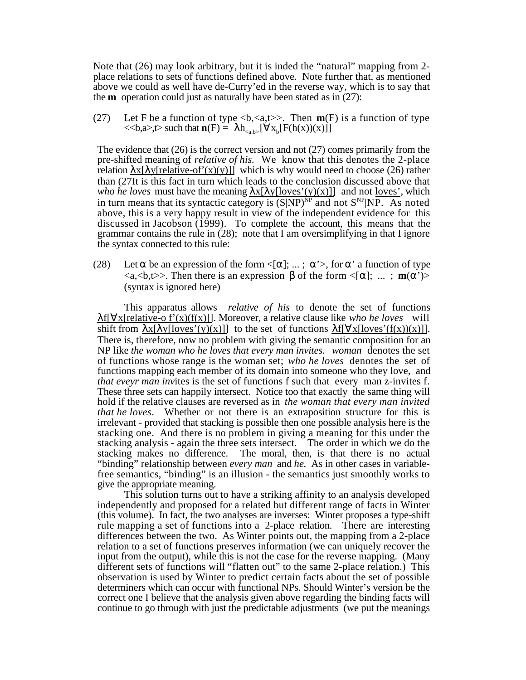Note that (26) may look arbitrary, but it is inded the "natural" mapping from 2 place relations to sets of functions defined above. Note further that, as mentioned above we could as well have de-Curry'ed in the reverse way, which is to say that the **m** operation could just as naturally have been stated as in (27):

(27) Let F be a function of type  **is a function of type**  $<,a $>$ ,t $>$  such that  $\mathbf{n}(F) = \mathbf{h}_{}$ [  $\mathbf{x}_b[F(h(\mathbf{x}))(x)]$ ]$ 

The evidence that (26) is the correct version and not (27) comes primarily from the pre-shifted meaning of *relative of his.* We know that this denotes the 2-place relation  $x$ [ y[relative-of'(x)(y)]] which is why would need to choose (26) rather than (27It is this fact in turn which leads to the conclusion discussed above that *who he loves* must have the meaning  $x[y][\text{loves'}(y)(x)]]$  and not <u>loves'</u>, which in turn means that its syntactic category is  $(S|NP)^{NP}$  and not  $S^{NP}|NP$ . As noted above, this is a very happy result in view of the independent evidence for this discussed in Jacobson (1999). To complete the account, this means that the grammar contains the rule in (28); note that I am oversimplifying in that I ignore the syntax connected to this rule:

(28) Let be an expression of the form  $\leq$   $\mid$ ; ...; ' $\geq$ , for ' a function of type  $\langle a, \langle b, t \rangle \rangle$ . Then there is an expression of the form  $\langle [\cdot, \dots, \mathbf{m}(\cdot)] \rangle$ (syntax is ignored here)

This apparatus allows *relative of his* to denote the set of functions f[ x[relative-o f'(x)(f(x)]]. Moreover, a relative clause like *who he loves* will shift from  $x[y][\text{loves'}(y)(x)]$  to the set of functions  $f[x][\text{loves'}(f(x))(x)]$ . There is, therefore, now no problem with giving the semantic composition for an NP like *the woman who he loves that every man invites. woman* denotes the set of functions whose range is the woman set; *who he loves* denotes the set of functions mapping each member of its domain into someone who they love, and *that eveyr man inv*ites is the set of functions f such that every man z-invites f. These three sets can happily intersect. Notice too that exactly the same thing will hold if the relative clauses are reversed as in *the woman that every man invited that he loves*. Whether or not there is an extraposition structure for this is irrelevant - provided that stacking is possible then one possible analysis here is the stacking one. And there is no problem in giving a meaning for this under the stacking analysis - again the three sets intersect. The order in which we do the stacking makes no difference. The moral, then, is that there is no actual "binding" relationship between *every man* and *he.* As in other cases in variablefree semantics, "binding" is an illusion - the semantics just smoothly works to give the appropriate meaning.

This solution turns out to have a striking affinity to an analysis developed independently and proposed for a related but different range of facts in Winter (this volume). In fact, the two analyses are inverses: Winter proposes a type-shift rule mapping a set of functions into a 2-place relation. There are interesting differences between the two. As Winter points out, the mapping from a 2-place relation to a set of functions preserves information (we can uniquely recover the input from the output), while this is not the case for the reverse mapping. (Many different sets of functions will "flatten out" to the same 2-place relation.) This observation is used by Winter to predict certain facts about the set of possible determiners which can occur with functional NPs. Should Winter's version be the correct one I believe that the analysis given above regarding the binding facts will continue to go through with just the predictable adjustments (we put the meanings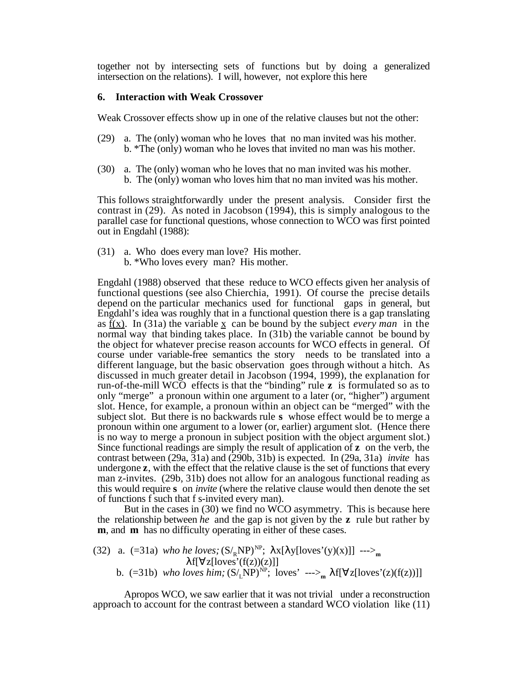together not by intersecting sets of functions but by doing a generalized intersection on the relations). I will, however, not explore this here

#### **6. Interaction with Weak Crossover**

Weak Crossover effects show up in one of the relative clauses but not the other:

- (29) a. The (only) woman who he loves that no man invited was his mother. b. \*The (only) woman who he loves that invited no man was his mother.
- (30) a. The (only) woman who he loves that no man invited was his mother. b. The (only) woman who loves him that no man invited was his mother.

This follows straightforwardly under the present analysis. Consider first the contrast in (29). As noted in Jacobson (1994), this is simply analogous to the parallel case for functional questions, whose connection to WCO was first pointed out in Engdahl (1988):

(31) a. Who does every man love? His mother. b. \*Who loves every man? His mother.

Engdahl (1988) observed that these reduce to WCO effects given her analysis of functional questions (see also Chierchia, 1991). Of course the precise details depend on the particular mechanics used for functional gaps in general, but Engdahl's idea was roughly that in a functional question there is a gap translating as  $f(x)$ . In (31a) the variable x can be bound by the subject *every man* in the normal way that binding takes place. In (31b) the variable cannot be bound by the object for whatever precise reason accounts for WCO effects in general. Of course under variable-free semantics the story needs to be translated into a different language, but the basic observation goes through without a hitch. As discussed in much greater detail in Jacobson (1994, 1999), the explanation for run-of-the-mill WCO effects is that the "binding" rule **z** is formulated so as to only "merge" a pronoun within one argument to a later (or, "higher") argument slot. Hence, for example, a pronoun within an object can be "merged" with the subject slot. But there is no backwards rule **s** whose effect would be to merge a pronoun within one argument to a lower (or, earlier) argument slot. (Hence there is no way to merge a pronoun in subject position with the object argument slot.) Since functional readings are simply the result of application of **z** on the verb, the contrast between (29a, 31a) and (290b, 31b) is expected. In (29a, 31a) *invite* has undergone **z**, with the effect that the relative clause is the set of functions that every man z-invites. (29b, 31b) does not allow for an analogous functional reading as this would require **s** on *invite* (where the relative clause would then denote the set of functions f such that f s-invited every man).

But in the cases in (30) we find no WCO asymmetry. This is because here the relationship between *he* and the gap is not given by the **z** rule but rather by **m**, and **m** has no difficulty operating in either of these cases.

(32) a. (=31a) *who he loves;* 
$$
(S_{R}NP)^{NP}
$$
; x[ y[loves'(y)(x)]]  $\cdots$ )<sub>m</sub>  
  $f[z[loves'(f(z))(z)]]$   
b. (=31b) *who loves him;*  $(S_{L}NP)^{NP}$ ; loves'  $\cdots$ )<sub>m</sub>  $f[z[loves'(z)(f(z))]]$ 

Apropos WCO, we saw earlier that it was not trivial under a reconstruction approach to account for the contrast between a standard WCO violation like (11)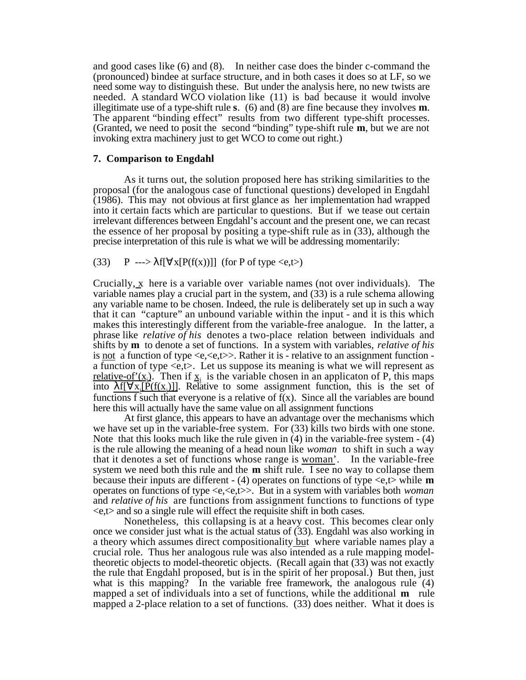and good cases like (6) and (8). In neither case does the binder c-command the (pronounced) bindee at surface structure, and in both cases it does so at LF, so we need some way to distinguish these. But under the analysis here, no new twists are needed. A standard WCO violation like (11) is bad because it would involve illegitimate use of a type-shift rule **s**. (6) and (8) are fine because they involves **m**. The apparent "binding effect" results from two different type-shift processes. (Granted, we need to posit the second "binding" type-shift rule **m**, but we are not invoking extra machinery just to get WCO to come out right.)

#### **7. Comparison to Engdahl**

As it turns out, the solution proposed here has striking similarities to the proposal (for the analogous case of functional questions) developed in Engdahl (1986). This may not obvious at first glance as her implementation had wrapped into it certain facts which are particular to questions. But if we tease out certain irrelevant differences between Engdahl's account and the present one, we can recast the essence of her proposal by positing a type-shift rule as in (33), although the precise interpretation of this rule is what we will be addressing momentarily:

# (33) P ---> f[  $x[P(f(x))]$ ] (for P of type <e,t>)

Crucially, x here is a variable over variable names (not over individuals). The variable names play a crucial part in the system, and (33) is a rule schema allowing any variable name to be chosen. Indeed, the rule is deliberately set up in such a way that it can "capture" an unbound variable within the input - and it is this which makes this interestingly different from the variable-free analogue. In the latter, a phrase like *relative of his* denotes a two-place relation between individuals and shifts by **m** to denote a set of functions. In a system with variables, *relative of his* is not a function of type  $\langle e, \langle e, t \rangle \rangle$ . Rather it is - relative to an assignment function a function of type  $\langle e,t \rangle$ . Let us suppose its meaning is what we will represent as relative-of'(x<sub>i</sub>). Then if  $x_i$  is the variable chosen in an applicaton of P, this maps into <u>f[ x<sub>i</sub>[P(f(x<sub>i</sub>)]</u>]. Relative to some assignment function, this is the set of functions f such that everyone is a relative of  $f(x)$ . Since all the variables are bound here this will actually have the same value on all assignment functions

At first glance, this appears to have an advantage over the mechanisms which we have set up in the variable-free system. For (33) kills two birds with one stone. Note that this looks much like the rule given in  $(4)$  in the variable-free system  $- (4)$ is the rule allowing the meaning of a head noun like *woman* to shift in such a way that it denotes a set of functions whose range is woman'. In the variable-free system we need both this rule and the **m** shift rule. I see no way to collapse them because their inputs are different - (4) operates on functions of type <e,t> while **m** operates on functions of type <e,<e,t>>. But in a system with variables both *woman* and *relative of his* are functions from assignment functions to functions of type  $\langle e, t \rangle$  and so a single rule will effect the requisite shift in both cases.

Nonetheless, this collapsing is at a heavy cost. This becomes clear only once we consider just what is the actual status of (33). Engdahl was also working in a theory which assumes direct compositionality but where variable names play a crucial role. Thus her analogous rule was also intended as a rule mapping modeltheoretic objects to model-theoretic objects. (Recall again that (33) was not exactly the rule that Engdahl proposed, but is in the spirit of her proposal.) But then, just what is this mapping? In the variable free framework, the analogous rule (4) mapped a set of individuals into a set of functions, while the additional **m** rule mapped a 2-place relation to a set of functions. (33) does neither. What it does is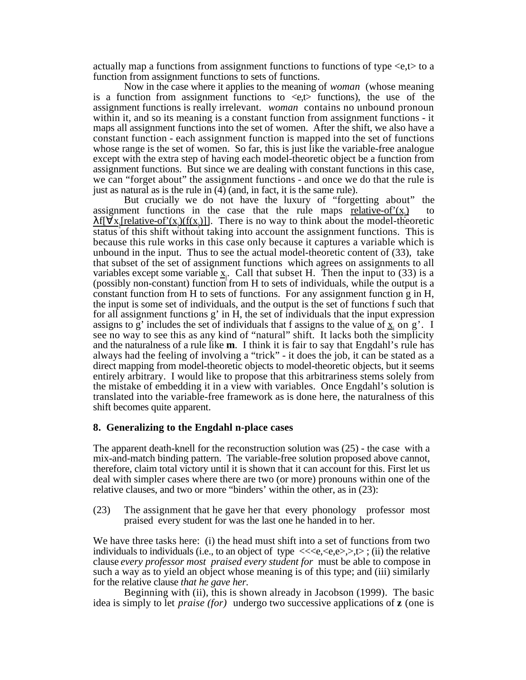actually map a functions from assignment functions to functions of type <e,t> to a function from assignment functions to sets of functions.

Now in the case where it applies to the meaning of *woman* (whose meaning is a function from assignment functions to  $\ll$ , functions), the use of the assignment functions is really irrelevant. *woman* contains no unbound pronoun within it, and so its meaning is a constant function from assignment functions - it maps all assignment functions into the set of women. After the shift, we also have a constant function - each assignment function is mapped into the set of functions whose range is the set of women. So far, this is just like the variable-free analogue except with the extra step of having each model-theoretic object be a function from assignment functions. But since we are dealing with constant functions in this case, we can "forget about" the assignment functions - and once we do that the rule is just as natural as is the rule in (4) (and, in fact, it is the same rule).

But crucially we do not have the luxury of "forgetting about" the assignment functions in the case that the rule maps relative-of' $(x_i)$ ) to  $f[x]$  relative-of'(x<sub>i</sub>)( $f(x_i)$ )]. There is no way to think about the model-theoretic status of this shift without taking into account the assignment functions. This is because this rule works in this case only because it captures a variable which is unbound in the input. Thus to see the actual model-theoretic content of (33), take that subset of the set of assignment functions which agrees on assignments to all variables except some variable  $\underline{x}_i$ . Call that subset H. Then the input to (33) is a (possibly non-constant) function from H to sets of individuals, while the output is a constant function from H to sets of functions. For any assignment function  $\hat{g}$  in H, the input is some set of individuals, and the output is the set of functions f such that for all assignment functions  $g'$  in H, the set of individuals that the input expression assigns to g' includes the set of individuals that f assigns to the value of  $\underline{x}_i$  on g'. I see no way to see this as any kind of "natural" shift. It lacks both the simplicity and the naturalness of a rule like **m**. I think it is fair to say that Engdahl's rule has always had the feeling of involving a "trick" - it does the job, it can be stated as a direct mapping from model-theoretic objects to model-theoretic objects, but it seems entirely arbitrary. I would like to propose that this arbitrariness stems solely from the mistake of embedding it in a view with variables. Once Engdahl's solution is translated into the variable-free framework as is done here, the naturalness of this shift becomes quite apparent.

# **8. Generalizing to the Engdahl n-place cases**

The apparent death-knell for the reconstruction solution was (25) - the case with a mix-and-match binding pattern. The variable-free solution proposed above cannot, therefore, claim total victory until it is shown that it can account for this. First let us deal with simpler cases where there are two (or more) pronouns within one of the relative clauses, and two or more "binders' within the other, as in (23):

(23) The assignment that he gave her that every phonology professor most praised every student for was the last one he handed in to her.

We have three tasks here: (i) the head must shift into a set of functions from two individuals to individuals (i.e., to an object of type  $\langle\langle e,\langle e,\rangle,\rangle,t\rangle$ ; (ii) the relative clause *every professor most praised every student for* must be able to compose in such a way as to yield an object whose meaning is of this type; and (iii) similarly for the relative clause *that he gave her.*

Beginning with (ii), this is shown already in Jacobson (1999). The basic idea is simply to let *praise (for)* undergo two successive applications of **z** (one is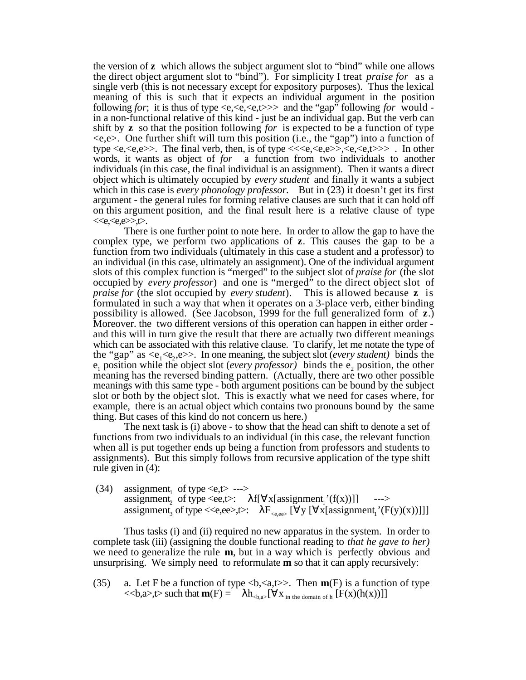the version of **z** which allows the subject argument slot to "bind" while one allows the direct object argument slot to "bind"). For simplicity I treat *praise for* as a single verb (this is not necessary except for expository purposes). Thus the lexical meaning of this is such that it expects an individual argument in the position following *for*; it is thus of type <e,<e,<e,t>>> and the "gap" following *for* would in a non-functional relative of this kind - just be an individual gap. But the verb can shift by **z** so that the position following *for* is expected to be a function of type  $\langle e,e \rangle$ . One further shift will turn this position (i.e., the "gap") into a function of type  $\langle e, \langle e, e \rangle$ . The final verb, then, is of type  $\langle \langle e, e, e \rangle \rangle, \langle e, \langle e, t \rangle \rangle$ . In other words, it wants as object of *for* a function from two individuals to another individuals (in this case, the final individual is an assignment). Then it wants a direct object which is ultimately occupied by *every student* and finally it wants a subject which in this case is *every phonology professor*. But in (23) it doesn't get its first argument - the general rules for forming relative clauses are such that it can hold off on this argument position, and the final result here is a relative clause of type  $<>t>.$ 

There is one further point to note here. In order to allow the gap to have the complex type, we perform two applications of **z**. This causes the gap to be a function from two individuals (ultimately in this case a student and a professor) to an individual (in this case, ultimately an assignment). One of the individual argument slots of this complex function is "merged" to the subject slot of *praise for* (the slot occupied by *every professor*) and one is "merged" to the direct object slot of *praise for* (the slot occupied by *every student*). This is allowed because **z** is formulated in such a way that when it operates on a 3-place verb, either binding possibility is allowed. (See Jacobson, 1999 for the full generalized form of **z**.) Moreover. the two different versions of this operation can happen in either order and this will in turn give the result that there are actually two different meanings which can be associated with this relative clause. To clarify, let me notate the type of the "gap" as  $\langle e_1 \langle e_2,e \rangle$ . In one meaning, the subject slot (*every student*) binds the  $e_1$  position while the object slot (*every professor*) binds the  $e_2$  position, the other meaning has the reversed binding pattern. (Actually, there are two other possible meanings with this same type - both argument positions can be bound by the subject slot or both by the object slot. This is exactly what we need for cases where, for example, there is an actual object which contains two pronouns bound by the same thing. But cases of this kind do not concern us here.)

The next task is (i) above - to show that the head can shift to denote a set of functions from two individuals to an individual (in this case, the relevant function when all is put together ends up being a function from professors and students to assignments). But this simply follows from recursive application of the type shift rule given in (4):

(34) assignment<sub>1</sub> of type  $\langle e,t \rangle$  ---> assignment, of type  $\langle ee, t \rangle$ :  $f[x[assignment]$ <sup>'</sup> $(f(x))]$  ---> assignment, of type  $\langle\langle e,ee \rangle, \rangle$ : of type  $\langle \text{e,ee}\rangle, \text{E:}$   $F_{\langle \text{e,ee}\rangle}$  [ y [ x[assignment<sub>1</sub>'(F(y)(x))]]]

Thus tasks (i) and (ii) required no new apparatus in the system. In order to complete task (iii) (assigning the double functional reading to *that he gave to her)* we need to generalize the rule **m**, but in a way which is perfectly obvious and unsurprising. We simply need to reformulate **m** so that it can apply recursively:

(35) a. Let F be a function of type **. Then**  $**m**(F)$  **is a function of type**  $<,a $>>$ ,t $>>$  such that **m**(F) =  $h_{**a}**$ ,  $\left[ X_{\text{in the domain of } h} \left[ F(x)(h(x)) \right] \right]$$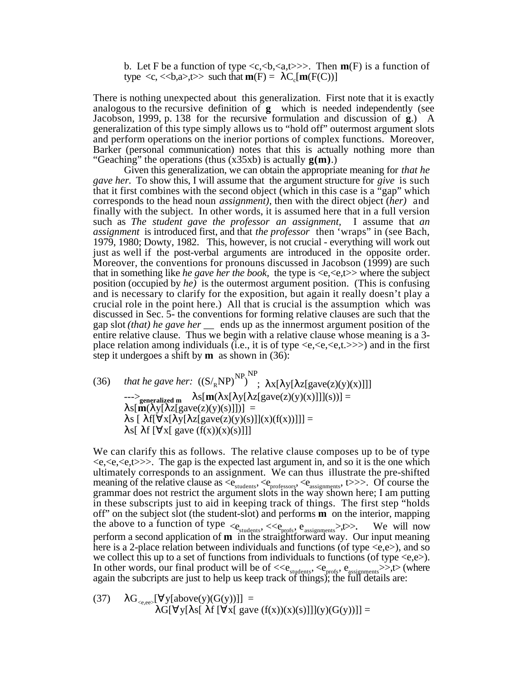b. Let F be a function of type  $\langle c, \langle b, \langle a, t \rangle \rangle$ . Then  $m(F)$  is a function of type  $\langle c, \langle **b**, a> \rangle, \langle >b \rangle$  such that  $\mathbf{m}(F) = C_c[\mathbf{m}(F(C))]$ 

There is nothing unexpected about this generalization. First note that it is exactly analogous to the recursive definition of **g** which is needed independently (see Jacobson, 1999, p. 138 for the recursive formulation and discussion of **g**.) A generalization of this type simply allows us to "hold off" outermost argument slots and perform operations on the inerior portions of complex functions. Moreover, Barker (personal communication) notes that this is actually nothing more than "Geaching" the operations (thus (x35xb) is actually **g(m)**.)

Given this generalization, we can obtain the appropriate meaning for *that he gave her.* To show this, I will assume that the argument structure for *give* is such that it first combines with the second object (which in this case is a "gap" which corresponds to the head noun *assignment)*, then with the direct object (*her)* and finally with the subject. In other words, it is assumed here that in a full version such as *The student gave the professor an assignment,* I assume that *an assignment* is introduced first, and that *the professor* then 'wraps" in (see Bach, 1979, 1980; Dowty, 1982. This, however, is not crucial - everything will work out just as well if the post-verbal arguments are introduced in the opposite order. Moreover, the conventions for pronouns discussed in Jacobson (1999) are such that in something like *he gave her the book*, the type is  $\langle e, \langle e, t \rangle$  where the subject position (occupied by *he)* is the outermost argument position. (This is confusing and is necessary to clarify for the exposition, but again it really doesn't play a crucial role in the point here.) All that is crucial is the assumption which was discussed in Sec. 5- the conventions for forming relative clauses are such that the gap slot *(that) he gave her \_\_* ends up as the innermost argument position of the entire relative clause. Thus we begin with a relative clause whose meaning is a 3 place relation among individuals (i.e., it is of type  $\langle e, \langle e, t \rangle \rangle$ ) and in the first step it undergoes a shift by **m** as shown in (36):

(36) *that he gave her:*  $({S}/{_R}NP)^{NP}$ <sup>NP</sup> ;  $x[ y[ z[gave(z)(y)(x)]] ]$  $\frac{\text{seperaligned}}{\text{seperaligned}}$  **s**  $[\mathbf{m}(\text{ x}[\text{ y}[\text{ z}[gave(z)(y)(x)]]](s))] =$  $s[\mathbf{m}(\ y[\ z[gave(z)(y)(s)]])] =$ s [ f[ x[ y[ z[gave(z)(y)(s)]](x)(f(x))]]] = s[ f [ x[ gave  $(f(x))(x)(s)$ ]]]

We can clarify this as follows. The relative clause composes up to be of type  $\langle e, \langle e, \langle e, t \rangle \rangle$ . The gap is the expected last argument in, and so it is the one which ultimately corresponds to an assignment. We can thus illustrate the pre-shifted meaning of the relative clause as  $\langle e_{\text{students}}, \langle e_{\text{professors}}, \langle e_{\text{assignments}}, t \rangle \rangle$ . Of course the grammar does not restrict the argument slots in the way shown here; I am putting in these subscripts just to aid in keeping track of things. The first step "holds off" on the subject slot (the student-slot) and performs **m** on the interior, mapping the above to a function of type  $\langle e_{\text{students}}, \langle \langle e_{\text{profs}}, e_{\text{assignment}} \rangle, t \rangle$ . We will now perform a second application of **m** in the straightforward way. Our input meaning here is a 2-place relation between individuals and functions (of type  $\langle e, e \rangle$ ), and so we collect this up to a set of functions from individuals to functions (of type  $\langle e,e \rangle$ ). In other words, our final product will be of  $\langle\langle e_{\text{stydents}}, e_{\text{profs}}, e_{\text{assignments}}\rangle\rangle$ , to (where again the subcripts are just to help us keep track of things); the full details are:

(37) 
$$
G_{\langle e, ee \rangle} \left[ \begin{array}{cc} y[above(y)(G(y))]] = \\ G[ & y[ & s[ & f[ & x[ gave (f(x))(x)(s)]]](y)(G(y))] \end{array} \right] =
$$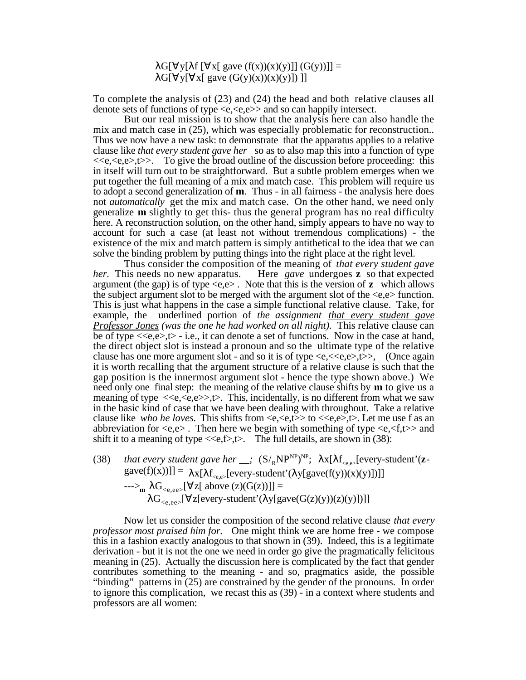G[ y[ f[ x[ gave  $(f(x))(x)(y)$ ]]  $(G(y))]$  =

G[  $y$ [ x[ gave  $(G(y)(x))(x)(y)$ ]) ]]

To complete the analysis of (23) and (24) the head and both relative clauses all denote sets of functions of type  $\langle e, \langle e, e \rangle \rangle$  and so can happily intersect.

But our real mission is to show that the analysis here can also handle the mix and match case in (25), which was especially problematic for reconstruction.. Thus we now have a new task: to demonstrate that the apparatus applies to a relative clause like *that every student gave her* so as to also map this into a function of type  $<e$ ),  $\gg$ . To give the broad outline of the discussion before proceeding: thisin itself will turn out to be straightforward. But a subtle problem emerges when we put together the full meaning of a mix and match case. This problem will require us to adopt a second generalization of **m**. Thus - in all fairness - the analysis here does not *automatically* get the mix and match case. On the other hand, we need only generalize **m** slightly to get this- thus the general program has no real difficulty here. A reconstruction solution, on the other hand, simply appears to have no way to account for such a case (at least not without tremendous complications) - the existence of the mix and match pattern is simply antithetical to the idea that we can solve the binding problem by putting things into the right place at the right level.

Thus consider the composition of the meaning of *that every student gave her.* This needs no new apparatus. Here *gave* undergoes **z** so that expected argument (the gap) is of type  $\langle e, e \rangle$ . Note that this is the version of **z** which allows the subject argument slot to be merged with the argument slot of the <e,e> function. This is just what happens in the case a simple functional relative clause. Take, for example, the underlined portion of *the assignment that every student gave Professor Jones (was the one he had worked on all night).* This relative clause can be of type  $\langle \langle e, e \rangle, t \rangle$  - i.e., it can denote a set of functions. Now in the case at hand, the direct object slot is instead a pronoun and so the ultimate type of the relative clause has one more argument slot - and so it is of type  $\langle e, \langle \langle e, e \rangle, t \rangle$ , (Once again it is worth recalling that the argument structure of a relative clause is such that the gap position is the innermost argument slot - hence the type shown above.) We need only one final step: the meaning of the relative clause shifts by **m** to give us a meaning of type  $\langle\langle e,\langle e,\rangle\rangle, \langle \rangle$ . This, incidentally, is no different from what we saw in the basic kind of case that we have been dealing with throughout. Take a relative clause like *who he loves*. This shifts from  $\langle e, \langle e, t \rangle >$  to  $\langle e, e \rangle$ , Let me use f as an abbreviation for  $\langle e, e \rangle$ . Then here we begin with something of type  $\langle e, \langle f, t \rangle \rangle$  and shift it to a meaning of type  $\langle \langle e,f \rangle, \rangle$ . The full details, are shown in (38):

(38) *that every student gave her*  $\_\ ; \ \ (S /_{R} NP^{NP})^{NP}; \ \ x[ \ \ f_{\langle e, e \rangle}$  [every-student'(**z** $gave(f)(x))] = x[ f<sub>ce,e></sub>[every-student' ( y[gave(f(y))(x)(y)])] ]$  $-$ --><sub>m</sub> G<sub><e,ee></sub>[ z[ above (z)(G(z))]] =  $G_{\leq e,ee>}$ [ z[every-student'( y[gave(G(z)(y))(z)(y)])]]

Now let us consider the composition of the second relative clause *that every professor most praised him for.* One might think we are home free - we compose this in a fashion exactly analogous to that shown in (39). Indeed, this is a legitimate derivation - but it is not the one we need in order go give the pragmatically felicitous meaning in (25). Actually the discussion here is complicated by the fact that gender contributes something to the meaning - and so, pragmatics aside, the possible "binding" patterns in (25) are constrained by the gender of the pronouns. In order to ignore this complication, we recast this as (39) - in a context where students and professors are all women: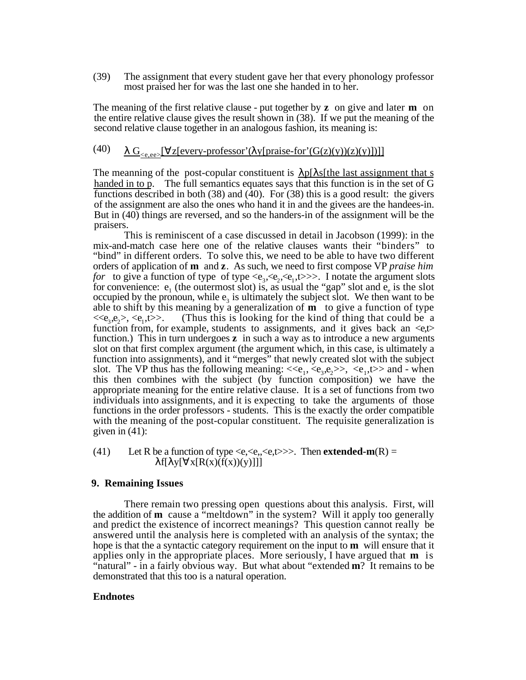(39) The assignment that every student gave her that every phonology professor most praised her for was the last one she handed in to her.

The meaning of the first relative clause - put together by **z** on give and later **m** on the entire relative clause gives the result shown in (38). If we put the meaning of the second relative clause together in an analogous fashion, its meaning is:

# (40)  $G_{\leq e,ee}$ [ z[every-professor'( y[praise-for'(G(z)(y))(z)(y)])]]

The meanning of the post-copular constituent is  $\|p\|$  s[the last assignment that s handed in to p. The full semantics equates says that this function is in the set of G functions described in both (38) and (40). For (38) this is a good result: the givers of the assignment are also the ones who hand it in and the givees are the handees-in. But in (40) things are reversed, and so the handers-in of the assignment will be the praisers.

This is reminiscent of a case discussed in detail in Jacobson (1999): in the mix-and-match case here one of the relative clauses wants their "binders" to "bind" in different orders. To solve this, we need to be able to have two different orders of application of **m** and **z**. As such, we need to first compose VP *praise him for* to give a function of type of type  $\langle e_3, e_2, e_1, t \rangle \rangle$ . I notate the argument slots for convenience:  $e_1$  (the outermost slot) is, as usual the "gap" slot and  $e_e$  is the slot occupied by the pronoun, while  $e_3$  is ultimately the subject slot. We then want to be able to shift by this meaning by a generalization of **m** to give a function of type  $<,$ (Thus this is looking for the kind of thing that could be a function from, for example, students to assignments, and it gives back an  $\ll_{\mathsf{c}}$ function.) This in turn undergoes **z** in such a way as to introduce a new arguments slot on that first complex argument (the argument which, in this case, is ultimately a function into assignments), and it "merges" that newly created slot with the subject slot. The VP thus has the following meaning:  $\langle e_1, e_3, e_2 \rangle$ ,  $\langle e_1, t \rangle$  and - when this then combines with the subject (by function composition) we have the appropriate meaning for the entire relative clause. It is a set of functions from two individuals into assignments, and it is expecting to take the arguments of those functions in the order professors - students. This is the exactly the order compatible with the meaning of the post-copular constituent. The requisite generalization is given in  $(41)$ :

(41) Let R be a function of type  $\langle e, \langle e, \langle e \rangle \rangle$ . Then **extended-m**(R) = f[  $y[ x[R(x)(f(x))(y)]]]$ ]

# **9. Remaining Issues**

There remain two pressing open questions about this analysis. First, will the addition of **m** cause a "meltdown" in the system? Will it apply too generally and predict the existence of incorrect meanings? This question cannot really be answered until the analysis here is completed with an analysis of the syntax; the hope is that the a syntactic category requirement on the input to **m** will ensure that it applies only in the appropriate places. More seriously, I have argued that **m** is "natural" - in a fairly obvious way. But what about "extended **m**? It remains to be demonstrated that this too is a natural operation.

#### **Endnotes**